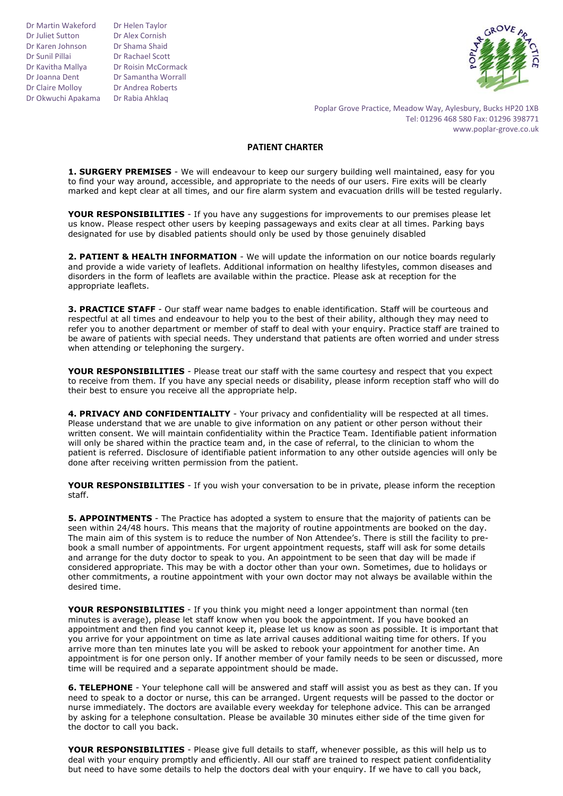Dr Martin Wakeford Dr Juliet Sutton Dr Karen Johnson Dr Sunil Pillai Dr Kavitha Mallya Dr Joanna Dent Dr Claire Molloy Dr Okwuchi Apakama Dr Rabia Ahklaq

Dr Helen Taylor Dr Alex Cornish Dr Shama Shaid Dr Rachael Scott Dr Roisin McCormack Dr Samantha Worrall Dr Andrea Roberts



Poplar Grove Practice, Meadow Way, Aylesbury, Bucks HP20 1XB Tel: 01296 468 580 Fax: 01296 398771 www.poplar-grove.co.uk

## **PATIENT CHARTER**

**1. SURGERY PREMISES** - We will endeavour to keep our surgery building well maintained, easy for you to find your way around, accessible, and appropriate to the needs of our users. Fire exits will be clearly marked and kept clear at all times, and our fire alarm system and evacuation drills will be tested regularly.

**YOUR RESPONSIBILITIES** - If you have any suggestions for improvements to our premises please let us know. Please respect other users by keeping passageways and exits clear at all times. Parking bays designated for use by disabled patients should only be used by those genuinely disabled

**2. PATIENT & HEALTH INFORMATION** - We will update the information on our notice boards regularly and provide a wide variety of leaflets. Additional information on healthy lifestyles, common diseases and disorders in the form of leaflets are available within the practice. Please ask at reception for the appropriate leaflets.

**3. PRACTICE STAFF** - Our staff wear name badges to enable identification. Staff will be courteous and respectful at all times and endeavour to help you to the best of their ability, although they may need to refer you to another department or member of staff to deal with your enquiry. Practice staff are trained to be aware of patients with special needs. They understand that patients are often worried and under stress when attending or telephoning the surgery.

**YOUR RESPONSIBILITIES** - Please treat our staff with the same courtesy and respect that you expect to receive from them. If you have any special needs or disability, please inform reception staff who will do their best to ensure you receive all the appropriate help.

**4. PRIVACY AND CONFIDENTIALITY** - Your privacy and confidentiality will be respected at all times. Please understand that we are unable to give information on any patient or other person without their written consent. We will maintain confidentiality within the Practice Team. Identifiable patient information will only be shared within the practice team and, in the case of referral, to the clinician to whom the patient is referred. Disclosure of identifiable patient information to any other outside agencies will only be done after receiving written permission from the patient.

**YOUR RESPONSIBILITIES** - If you wish your conversation to be in private, please inform the reception staff.

**5. APPOINTMENTS** - The Practice has adopted a system to ensure that the majority of patients can be seen within 24/48 hours. This means that the majority of routine appointments are booked on the day. The main aim of this system is to reduce the number of Non Attendee's. There is still the facility to prebook a small number of appointments. For urgent appointment requests, staff will ask for some details and arrange for the duty doctor to speak to you. An appointment to be seen that day will be made if considered appropriate. This may be with a doctor other than your own. Sometimes, due to holidays or other commitments, a routine appointment with your own doctor may not always be available within the desired time.

**YOUR RESPONSIBILITIES** - If you think you might need a longer appointment than normal (ten minutes is average), please let staff know when you book the appointment. If you have booked an appointment and then find you cannot keep it, please let us know as soon as possible. It is important that you arrive for your appointment on time as late arrival causes additional waiting time for others. If you arrive more than ten minutes late you will be asked to rebook your appointment for another time. An appointment is for one person only. If another member of your family needs to be seen or discussed, more time will be required and a separate appointment should be made.

**6. TELEPHONE** - Your telephone call will be answered and staff will assist you as best as they can. If you need to speak to a doctor or nurse, this can be arranged. Urgent requests will be passed to the doctor or nurse immediately. The doctors are available every weekday for telephone advice. This can be arranged by asking for a telephone consultation. Please be available 30 minutes either side of the time given for the doctor to call you back.

**YOUR RESPONSIBILITIES** - Please give full details to staff, whenever possible, as this will help us to deal with your enquiry promptly and efficiently. All our staff are trained to respect patient confidentiality but need to have some details to help the doctors deal with your enquiry. If we have to call you back,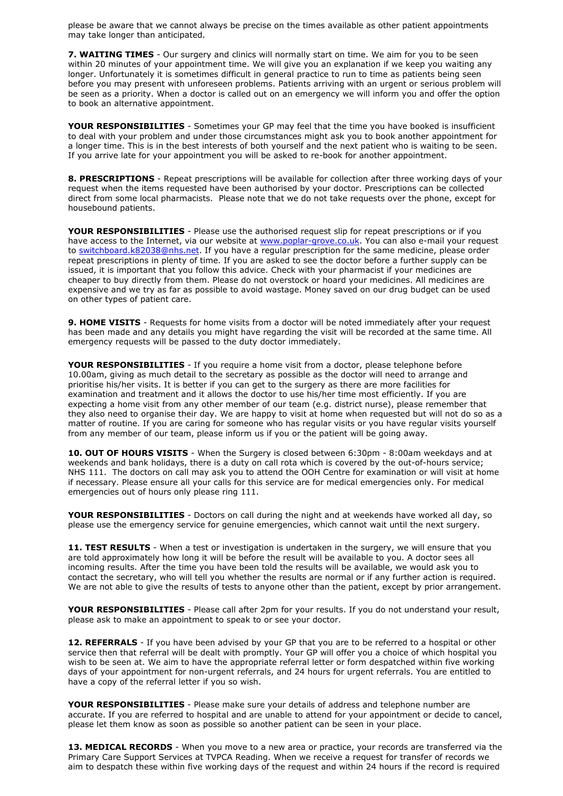please be aware that we cannot always be precise on the times available as other patient appointments may take longer than anticipated.

**7. WAITING TIMES** - Our surgery and clinics will normally start on time. We aim for you to be seen within 20 minutes of your appointment time. We will give you an explanation if we keep you waiting any longer. Unfortunately it is sometimes difficult in general practice to run to time as patients being seen before you may present with unforeseen problems. Patients arriving with an urgent or serious problem will be seen as a priority. When a doctor is called out on an emergency we will inform you and offer the option to book an alternative appointment.

**YOUR RESPONSIBILITIES** - Sometimes your GP may feel that the time you have booked is insufficient to deal with your problem and under those circumstances might ask you to book another appointment for a longer time. This is in the best interests of both yourself and the next patient who is waiting to be seen. If you arrive late for your appointment you will be asked to re-book for another appointment.

**8. PRESCRIPTIONS** - Repeat prescriptions will be available for collection after three working days of your request when the items requested have been authorised by your doctor. Prescriptions can be collected direct from some local pharmacists. Please note that we do not take requests over the phone, except for housebound patients.

**YOUR RESPONSIBILITIES** - Please use the authorised request slip for repeat prescriptions or if you have access to the Internet, via our website at [www.poplar-grove.co.uk.](http://www.poplar-grove.nhs.uk/) You can also e-mail your request to [switchboard.k82038@nhs.net.](mailto:switchboard.k82038@nhs.net) If you have a regular prescription for the same medicine, please order repeat prescriptions in plenty of time. If you are asked to see the doctor before a further supply can be issued, it is important that you follow this advice. Check with your pharmacist if your medicines are cheaper to buy directly from them. Please do not overstock or hoard your medicines. All medicines are expensive and we try as far as possible to avoid wastage. Money saved on our drug budget can be used on other types of patient care.

**9. HOME VISITS** - Requests for home visits from a doctor will be noted immediately after your request has been made and any details you might have regarding the visit will be recorded at the same time. All emergency requests will be passed to the duty doctor immediately.

**YOUR RESPONSIBILITIES** - If you require a home visit from a doctor, please telephone before 10.00am, giving as much detail to the secretary as possible as the doctor will need to arrange and prioritise his/her visits. It is better if you can get to the surgery as there are more facilities for examination and treatment and it allows the doctor to use his/her time most efficiently. If you are expecting a home visit from any other member of our team (e.g. district nurse), please remember that they also need to organise their day. We are happy to visit at home when requested but will not do so as a matter of routine. If you are caring for someone who has regular visits or you have regular visits yourself from any member of our team, please inform us if you or the patient will be going away.

**10. OUT OF HOURS VISITS** - When the Surgery is closed between 6:30pm - 8:00am weekdays and at weekends and bank holidays, there is a duty on call rota which is covered by the out-of-hours service; NHS 111. The doctors on call may ask you to attend the OOH Centre for examination or will visit at home if necessary. Please ensure all your calls for this service are for medical emergencies only. For medical emergencies out of hours only please ring 111.

**YOUR RESPONSIBILITIES** - Doctors on call during the night and at weekends have worked all day, so please use the emergency service for genuine emergencies, which cannot wait until the next surgery.

11. TEST RESULTS - When a test or investigation is undertaken in the surgery, we will ensure that you are told approximately how long it will be before the result will be available to you. A doctor sees all incoming results. After the time you have been told the results will be available, we would ask you to contact the secretary, who will tell you whether the results are normal or if any further action is required. We are not able to give the results of tests to anyone other than the patient, except by prior arrangement.

**YOUR RESPONSIBILITIES** - Please call after 2pm for your results. If you do not understand your result, please ask to make an appointment to speak to or see your doctor.

**12. REFERRALS** - If you have been advised by your GP that you are to be referred to a hospital or other service then that referral will be dealt with promptly. Your GP will offer you a choice of which hospital you wish to be seen at. We aim to have the appropriate referral letter or form despatched within five working days of your appointment for non-urgent referrals, and 24 hours for urgent referrals. You are entitled to have a copy of the referral letter if you so wish.

**YOUR RESPONSIBILITIES** - Please make sure your details of address and telephone number are accurate. If you are referred to hospital and are unable to attend for your appointment or decide to cancel, please let them know as soon as possible so another patient can be seen in your place.

**13. MEDICAL RECORDS** - When you move to a new area or practice, your records are transferred via the Primary Care Support Services at TVPCA Reading. When we receive a request for transfer of records we aim to despatch these within five working days of the request and within 24 hours if the record is required